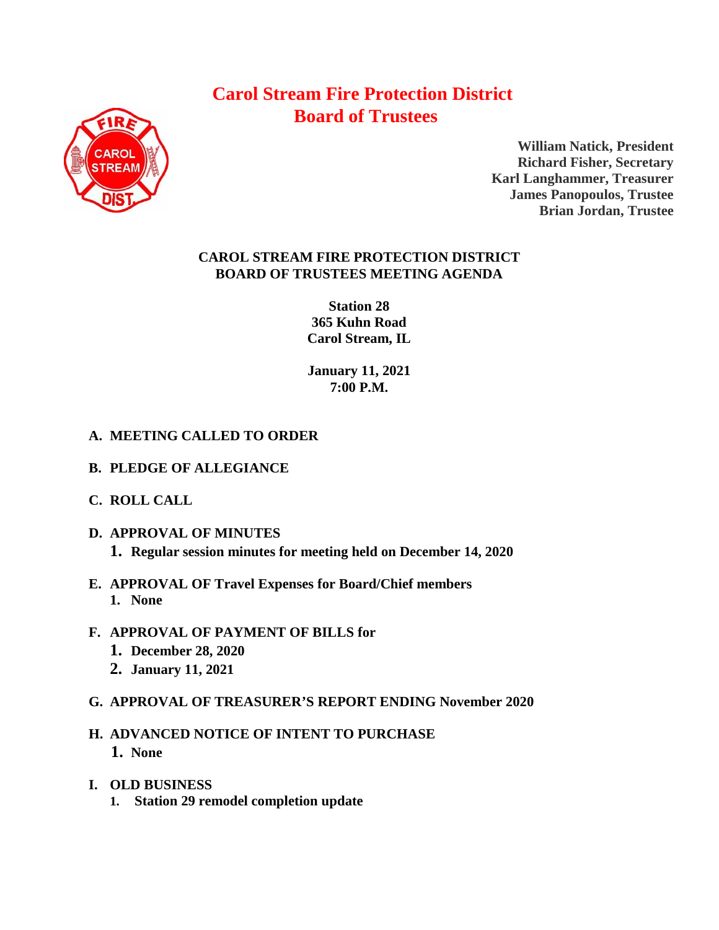# **Carol Stream Fire Protection District Board of Trustees**



**William Natick, President Richard Fisher, Secretary Karl Langhammer, Treasurer James Panopoulos, Trustee Brian Jordan, Trustee**

## **CAROL STREAM FIRE PROTECTION DISTRICT BOARD OF TRUSTEES MEETING AGENDA**

**Station 28 365 Kuhn Road Carol Stream, IL** 

**January 11, 2021 7:00 P.M.**

# **A. MEETING CALLED TO ORDER**

- **B. PLEDGE OF ALLEGIANCE**
- **C. ROLL CALL**
- **D. APPROVAL OF MINUTES 1. Regular session minutes for meeting held on December 14, 2020**
- **E. APPROVAL OF Travel Expenses for Board/Chief members 1. None**
- **F. APPROVAL OF PAYMENT OF BILLS for**
	- **1. December 28, 2020**
	- **2. January 11, 2021**
- **G. APPROVAL OF TREASURER'S REPORT ENDING November 2020**
- **H. ADVANCED NOTICE OF INTENT TO PURCHASE 1. None**
- **I. OLD BUSINESS**
	- **1. Station 29 remodel completion update**